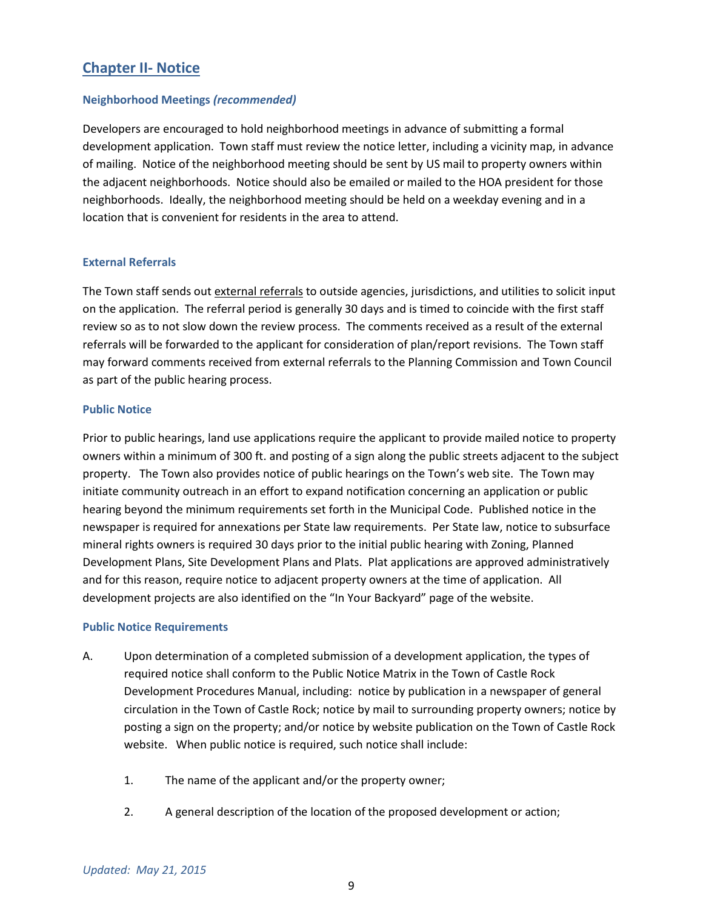# **Chapter II- Notice**

## **Neighborhood Meetings** *(recommended)*

Developers are encouraged to hold neighborhood meetings in advance of submitting a formal development application. Town staff must review the notice letter, including a vicinity map, in advance of mailing. Notice of the neighborhood meeting should be sent by US mail to property owners within the adjacent neighborhoods. Notice should also be emailed or mailed to the HOA president for those neighborhoods. Ideally, the neighborhood meeting should be held on a weekday evening and in a location that is convenient for residents in the area to attend.

## **External Referrals**

The Town staff sends out external referrals to outside agencies, jurisdictions, and utilities to solicit input on the application. The referral period is generally 30 days and is timed to coincide with the first staff review so as to not slow down the review process. The comments received as a result of the external referrals will be forwarded to the applicant for consideration of plan/report revisions. The Town staff may forward comments received from external referrals to the Planning Commission and Town Council as part of the public hearing process.

#### **Public Notice**

Prior to public hearings, land use applications require the applicant to provide mailed notice to property owners within a minimum of 300 ft. and posting of a sign along the public streets adjacent to the subject property. The Town also provides notice of public hearings on the Town's web site. The Town may initiate community outreach in an effort to expand notification concerning an application or public hearing beyond the minimum requirements set forth in the Municipal Code. Published notice in the newspaper is required for annexations per State law requirements. Per State law, notice to subsurface mineral rights owners is required 30 days prior to the initial public hearing with Zoning, Planned Development Plans, Site Development Plans and Plats. Plat applications are approved administratively and for this reason, require notice to adjacent property owners at the time of application. All development projects are also identified on the "In Your Backyard" page of the website.

#### **Public Notice Requirements**

- A. Upon determination of a completed submission of a development application, the types of required notice shall conform to the Public Notice Matrix in the Town of Castle Rock Development Procedures Manual, including: notice by publication in a newspaper of general circulation in the Town of Castle Rock; notice by mail to surrounding property owners; notice by posting a sign on the property; and/or notice by website publication on the Town of Castle Rock website. When public notice is required, such notice shall include:
	- 1. The name of the applicant and/or the property owner;
	- 2. A general description of the location of the proposed development or action;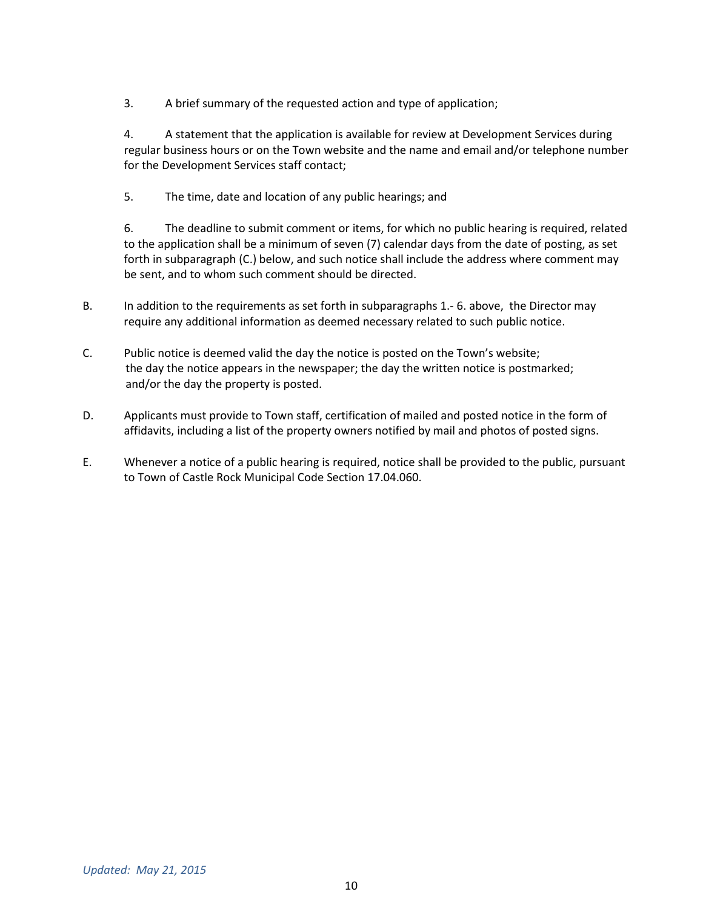3. A brief summary of the requested action and type of application;

4. A statement that the application is available for review at Development Services during regular business hours or on the Town website and the name and email and/or telephone number for the Development Services staff contact;

5. The time, date and location of any public hearings; and

6. The deadline to submit comment or items, for which no public hearing is required, related to the application shall be a minimum of seven (7) calendar days from the date of posting, as set forth in subparagraph (C.) below, and such notice shall include the address where comment may be sent, and to whom such comment should be directed.

- B. In addition to the requirements as set forth in subparagraphs 1.- 6. above, the Director may require any additional information as deemed necessary related to such public notice.
- C. Public notice is deemed valid the day the notice is posted on the Town's website; the day the notice appears in the newspaper; the day the written notice is postmarked; and/or the day the property is posted.
- D. Applicants must provide to Town staff, certification of mailed and posted notice in the form of affidavits, including a list of the property owners notified by mail and photos of posted signs.
- E. Whenever a notice of a public hearing is required, notice shall be provided to the public, pursuant to Town of Castle Rock Municipal Code Section 17.04.060.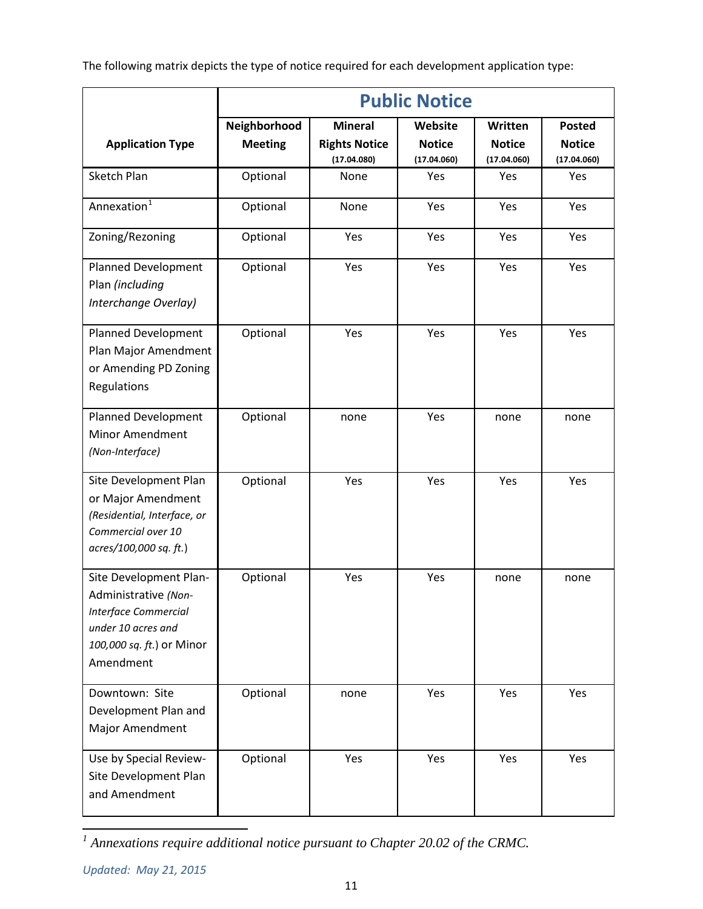The following matrix depicts the type of notice required for each development application type:

|                                                                                                                                               | <b>Public Notice</b>           |                                                       |                                         |                                         |                                               |  |  |
|-----------------------------------------------------------------------------------------------------------------------------------------------|--------------------------------|-------------------------------------------------------|-----------------------------------------|-----------------------------------------|-----------------------------------------------|--|--|
| <b>Application Type</b>                                                                                                                       | Neighborhood<br><b>Meeting</b> | <b>Mineral</b><br><b>Rights Notice</b><br>(17.04.080) | Website<br><b>Notice</b><br>(17.04.060) | Written<br><b>Notice</b><br>(17.04.060) | <b>Posted</b><br><b>Notice</b><br>(17.04.060) |  |  |
| Sketch Plan                                                                                                                                   | Optional                       | None                                                  | Yes                                     | Yes                                     | Yes                                           |  |  |
| Annexation <sup>1</sup>                                                                                                                       | Optional                       | None                                                  | Yes                                     | Yes                                     | Yes                                           |  |  |
| Zoning/Rezoning                                                                                                                               | Optional                       | Yes                                                   | Yes                                     | Yes                                     | Yes                                           |  |  |
| <b>Planned Development</b><br>Plan (including<br>Interchange Overlay)                                                                         | Optional                       | Yes                                                   | Yes                                     | Yes                                     | Yes                                           |  |  |
| Planned Development<br>Plan Major Amendment<br>or Amending PD Zoning<br>Regulations                                                           | Optional                       | Yes                                                   | Yes                                     | Yes                                     | Yes                                           |  |  |
| <b>Planned Development</b><br>Minor Amendment<br>(Non-Interface)                                                                              | Optional                       | none                                                  | Yes                                     | none                                    | none                                          |  |  |
| Site Development Plan<br>or Major Amendment<br>(Residential, Interface, or<br>Commercial over 10<br>acres/100,000 sq. ft.)                    | Optional                       | Yes                                                   | Yes                                     | Yes                                     | Yes                                           |  |  |
| Site Development Plan-<br>Administrative (Non-<br><b>Interface Commercial</b><br>under 10 acres and<br>100,000 sq. ft.) or Minor<br>Amendment | Optional                       | Yes                                                   | Yes                                     | none                                    | none                                          |  |  |
| Downtown: Site<br>Development Plan and<br>Major Amendment                                                                                     | Optional                       | none                                                  | Yes                                     | Yes                                     | Yes                                           |  |  |
| Use by Special Review-<br>Site Development Plan<br>and Amendment                                                                              | Optional                       | Yes                                                   | Yes                                     | Yes                                     | Yes                                           |  |  |

<span id="page-2-0"></span>*<sup>1</sup> Annexations require additional notice pursuant to Chapter 20.02 of the CRMC.*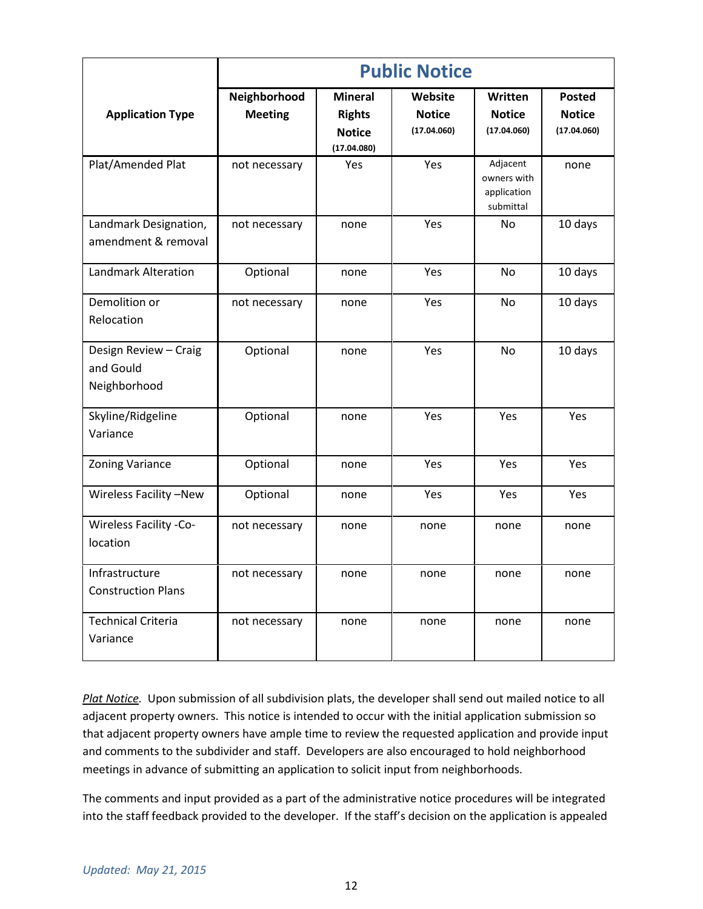|                                                    | <b>Public Notice</b>           |                                                                 |                                         |                                                     |                                               |  |  |
|----------------------------------------------------|--------------------------------|-----------------------------------------------------------------|-----------------------------------------|-----------------------------------------------------|-----------------------------------------------|--|--|
| <b>Application Type</b>                            | Neighborhood<br><b>Meeting</b> | <b>Mineral</b><br><b>Rights</b><br><b>Notice</b><br>(17.04.080) | Website<br><b>Notice</b><br>(17.04.060) | Written<br><b>Notice</b><br>(17.04.060)             | <b>Posted</b><br><b>Notice</b><br>(17.04.060) |  |  |
| Plat/Amended Plat                                  | not necessary                  | Yes                                                             | Yes                                     | Adjacent<br>owners with<br>application<br>submittal | none                                          |  |  |
| Landmark Designation,<br>amendment & removal       | not necessary                  | none                                                            | Yes                                     | <b>No</b>                                           | 10 days                                       |  |  |
| <b>Landmark Alteration</b>                         | Optional                       | none                                                            | Yes                                     | No                                                  | 10 days                                       |  |  |
| Demolition or<br>Relocation                        | not necessary                  | none                                                            | Yes                                     | <b>No</b>                                           | 10 days                                       |  |  |
| Design Review - Craig<br>and Gould<br>Neighborhood | Optional                       | none                                                            | Yes                                     | <b>No</b>                                           | 10 days                                       |  |  |
| Skyline/Ridgeline<br>Variance                      | Optional                       | none                                                            | Yes                                     | Yes                                                 | Yes                                           |  |  |
| Zoning Variance                                    | Optional                       | none                                                            | Yes                                     | Yes                                                 | Yes                                           |  |  |
| Wireless Facility -New                             | Optional                       | none                                                            | Yes                                     | Yes                                                 | Yes                                           |  |  |
| <b>Wireless Facility -Co-</b><br>location          | not necessary                  | none                                                            | none                                    | none                                                | none                                          |  |  |
| Infrastructure<br><b>Construction Plans</b>        | not necessary                  | none                                                            | none                                    | none                                                | none                                          |  |  |
| <b>Technical Criteria</b><br>Variance              | not necessary                  | none                                                            | none                                    | none                                                | none                                          |  |  |

*Plat Notice.* Upon submission of all subdivision plats, the developer shall send out mailed notice to all adjacent property owners. This notice is intended to occur with the initial application submission so that adjacent property owners have ample time to review the requested application and provide input and comments to the subdivider and staff. Developers are also encouraged to hold neighborhood meetings in advance of submitting an application to solicit input from neighborhoods.

The comments and input provided as a part of the administrative notice procedures will be integrated into the staff feedback provided to the developer. If the staff's decision on the application is appealed